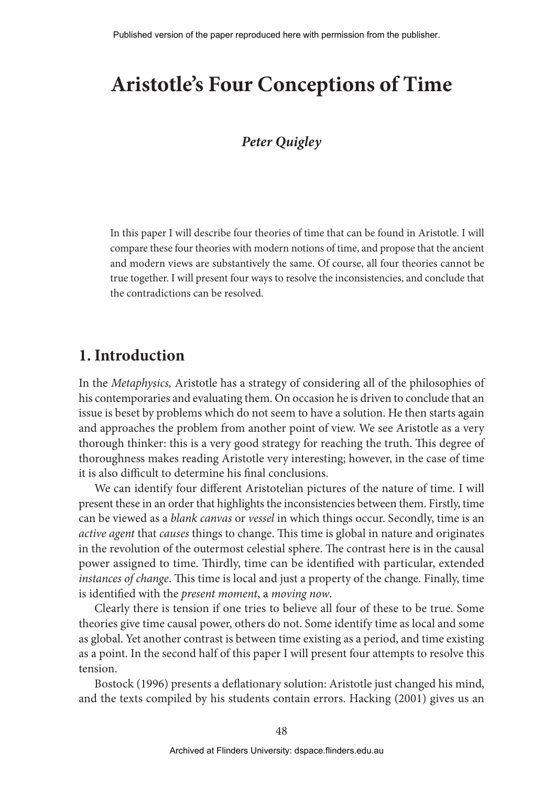Quigley, P., 2013. Aristotle's four conceptions of time. In M. Tsianikas, N. Maadad, G. Couvalis, and M. Palaktsoglou (eds.) "Greek Research in Australia: Proceedings of the Biennial International Conference of Greek Studies, Flinders University June 2011", Flinders University Department of Language Studies - Modern Greek: Adelaide, 48-58. Published version of the paper reproduced here with permission from the publisher.

# **Aristotle's Four Conceptions of Time**

## *Peter Quigley*

In this paper I will describe four theories of time that can be found in Aristotle. I will compare these four theories with modern notions of time, and propose that the ancient and modern views are substantively the same. Of course, all four theories cannot be true together. I will present four ways to resolve the inconsistencies, and conclude that the contradictions can be resolved.

## **1. Introduction**

In the *Metaphysics,* Aristotle has a strategy of considering all of the philosophies of his contemporaries and evaluating them. On occasion he is driven to conclude that an issue is beset by problems which do not seem to have a solution. He then starts again and approaches the problem from another point of view. We see Aristotle as a very thorough thinker: this is a very good strategy for reaching the truth. This degree of thoroughness makes reading Aristotle very interesting; however, in the case of time it is also difficult to determine his final conclusions.

We can identify four different Aristotelian pictures of the nature of time. I will present these in an order that highlights the inconsistencies between them. Firstly, time can be viewed as a *blank canvas* or *vessel* in which things occur. Secondly, time is an *active agent* that *causes* things to change. This time is global in nature and originates in the revolution of the outermost celestial sphere. The contrast here is in the causal power assigned to time. Thirdly, time can be identified with particular, extended *instances of change*. This time is local and just a property of the change. Finally, time is identified with the *present moment*, a *moving now*.

Clearly there is tension if one tries to believe all four of these to be true. Some theories give time causal power, others do not. Some identify time as local and some as global. Yet another contrast is between time existing as a period, and time existing as a point. In the second half of this paper I will present four attempts to resolve this tension.

Bostock (1996) presents a deflationary solution: Aristotle just changed his mind, and the texts compiled by his students contain errors. Hacking (2001) gives us an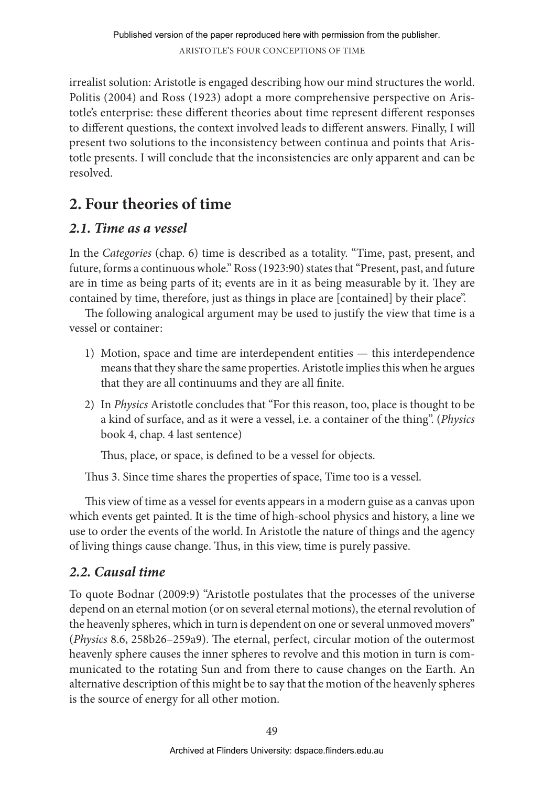irrealist solution: Aristotle is engaged describing how our mind structures the world. Politis (2004) and Ross (1923) adopt a more comprehensive perspective on Aristotle's enterprise: these different theories about time represent different responses to different questions, the context involved leads to different answers. Finally, I will present two solutions to the inconsistency between continua and points that Aristotle presents. I will conclude that the inconsistencies are only apparent and can be resolved.

# **2. Four theories of time**

# *2.1. Time as a vessel*

In the *Categories* (chap. 6) time is described as a totality. "Time, past, present, and future, forms a continuous whole." Ross (1923:90) states that "Present, past, and future are in time as being parts of it; events are in it as being measurable by it. They are contained by time, therefore, just as things in place are [contained] by their place".

The following analogical argument may be used to justify the view that time is a vessel or container:

- 1) Motion, space and time are interdependent entities this interdependence means that they share the same properties. Aristotle implies this when he argues that they are all continuums and they are all finite.
- 2) In *Physics* Aristotle concludes that "For this reason, too, place is thought to be a kind of surface, and as it were a vessel, i.e. a container of the thing". (*Physics* book 4, chap. 4 last sentence)

Thus, place, or space, is defined to be a vessel for objects.

Thus 3. Since time shares the properties of space, Time too is a vessel.

This view of time as a vessel for events appears in a modern guise as a canvas upon which events get painted. It is the time of high-school physics and history, a line we use to order the events of the world. In Aristotle the nature of things and the agency of living things cause change. Thus, in this view, time is purely passive.

# *2.2. Causal time*

To quote Bodnar (2009:9) "Aristotle postulates that the processes of the universe depend on an eternal motion (or on several eternal motions), the eternal revolution of the heavenly spheres, which in turn is dependent on one or several unmoved movers" (*Physics* 8.6, 258b26–259a9). The eternal, perfect, circular motion of the outermost heavenly sphere causes the inner spheres to revolve and this motion in turn is communicated to the rotating Sun and from there to cause changes on the Earth. An alternative description of this might be to say that the motion of the heavenly spheres is the source of energy for all other motion.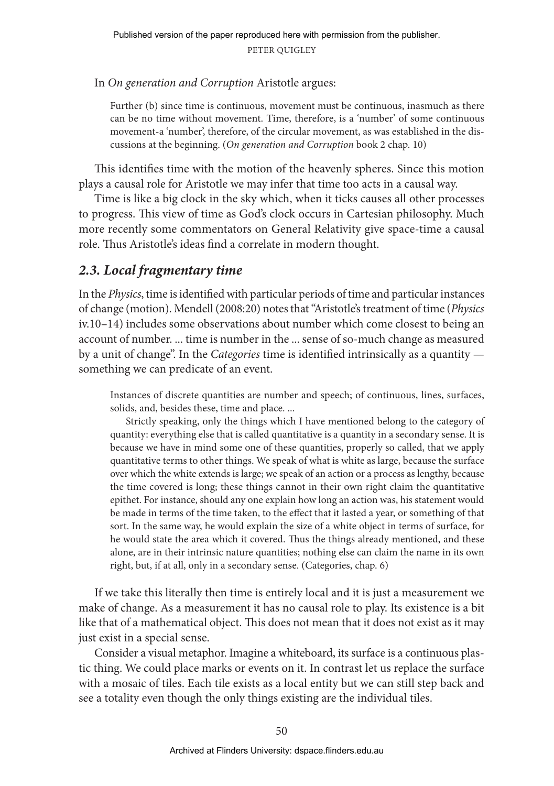In *On generation and Corruption* Aristotle argues:

Further (b) since time is continuous, movement must be continuous, inasmuch as there can be no time without movement. Time, therefore, is a 'number' of some continuous movement-a 'number', therefore, of the circular movement, as was established in the discussions at the beginning. (*On generation and Corruption* book 2 chap. 10)

This identifies time with the motion of the heavenly spheres. Since this motion plays a causal role for Aristotle we may infer that time too acts in a causal way.

Time is like a big clock in the sky which, when it ticks causes all other processes to progress. This view of time as God's clock occurs in Cartesian philosophy. Much more recently some commentators on General Relativity give space-time a causal role. Thus Aristotle's ideas find a correlate in modern thought.

## *2.3. Local fragmentary time*

In the *Physics*, time is identified with particular periods of time and particular instances of change (motion). Mendell (2008:20) notes that "Aristotle's treatment of time (*Physics* iv.10–14) includes some observations about number which come closest to being an account of number. ... time is number in the ... sense of so-much change as measured by a unit of change". In the *Categories* time is identified intrinsically as a quantity something we can predicate of an event.

Instances of discrete quantities are number and speech; of continuous, lines, surfaces, solids, and, besides these, time and place. ...

Strictly speaking, only the things which I have mentioned belong to the category of quantity: everything else that is called quantitative is a quantity in a secondary sense. It is because we have in mind some one of these quantities, properly so called, that we apply quantitative terms to other things. We speak of what is white as large, because the surface over which the white extends is large; we speak of an action or a process as lengthy, because the time covered is long; these things cannot in their own right claim the quantitative epithet. For instance, should any one explain how long an action was, his statement would be made in terms of the time taken, to the effect that it lasted a year, or something of that sort. In the same way, he would explain the size of a white object in terms of surface, for he would state the area which it covered. Thus the things already mentioned, and these alone, are in their intrinsic nature quantities; nothing else can claim the name in its own right, but, if at all, only in a secondary sense. (Categories, chap. 6)

If we take this literally then time is entirely local and it is just a measurement we make of change. As a measurement it has no causal role to play. Its existence is a bit like that of a mathematical object. This does not mean that it does not exist as it may just exist in a special sense.

Consider a visual metaphor. Imagine a whiteboard, its surface is a continuous plastic thing. We could place marks or events on it. In contrast let us replace the surface with a mosaic of tiles. Each tile exists as a local entity but we can still step back and see a totality even though the only things existing are the individual tiles.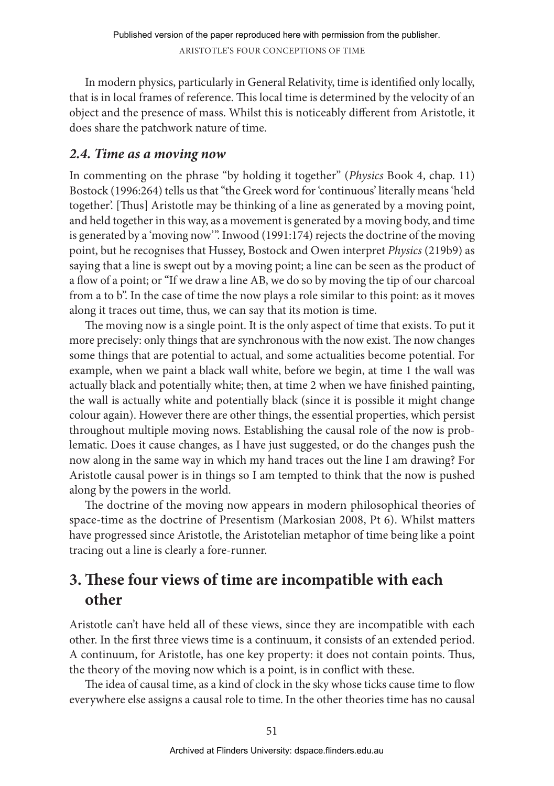In modern physics, particularly in General Relativity, time is identified only locally, that is in local frames of reference. This local time is determined by the velocity of an object and the presence of mass. Whilst this is noticeably different from Aristotle, it does share the patchwork nature of time.

## *2.4. Time as a moving now*

In commenting on the phrase "by holding it together" (*Physics* Book 4, chap. 11) Bostock (1996:264) tells us that "the Greek word for 'continuous' literally means 'held together'. [Thus] Aristotle may be thinking of a line as generated by a moving point, and held together in this way, as a movement is generated by a moving body, and time is generated by a 'moving now'". Inwood (1991:174) rejects the doctrine of the moving point, but he recognises that Hussey, Bostock and Owen interpret *Physics* (219b9) as saying that a line is swept out by a moving point; a line can be seen as the product of a flow of a point; or "If we draw a line AB, we do so by moving the tip of our charcoal from a to b". In the case of time the now plays a role similar to this point: as it moves along it traces out time, thus, we can say that its motion is time.

The moving now is a single point. It is the only aspect of time that exists. To put it more precisely: only things that are synchronous with the now exist. The now changes some things that are potential to actual, and some actualities become potential. For example, when we paint a black wall white, before we begin, at time 1 the wall was actually black and potentially white; then, at time 2 when we have finished painting, the wall is actually white and potentially black (since it is possible it might change colour again). However there are other things, the essential properties, which persist throughout multiple moving nows. Establishing the causal role of the now is problematic. Does it cause changes, as I have just suggested, or do the changes push the now along in the same way in which my hand traces out the line I am drawing? For Aristotle causal power is in things so I am tempted to think that the now is pushed along by the powers in the world.

The doctrine of the moving now appears in modern philosophical theories of space-time as the doctrine of Presentism (Markosian 2008, Pt 6). Whilst matters have progressed since Aristotle, the Aristotelian metaphor of time being like a point tracing out a line is clearly a fore-runner.

# **3. These four views of time are incompatible with each other**

Aristotle can't have held all of these views, since they are incompatible with each other. In the first three views time is a continuum, it consists of an extended period. A continuum, for Aristotle, has one key property: it does not contain points. Thus, the theory of the moving now which is a point, is in conflict with these.

The idea of causal time, as a kind of clock in the sky whose ticks cause time to flow everywhere else assigns a causal role to time. In the other theories time has no causal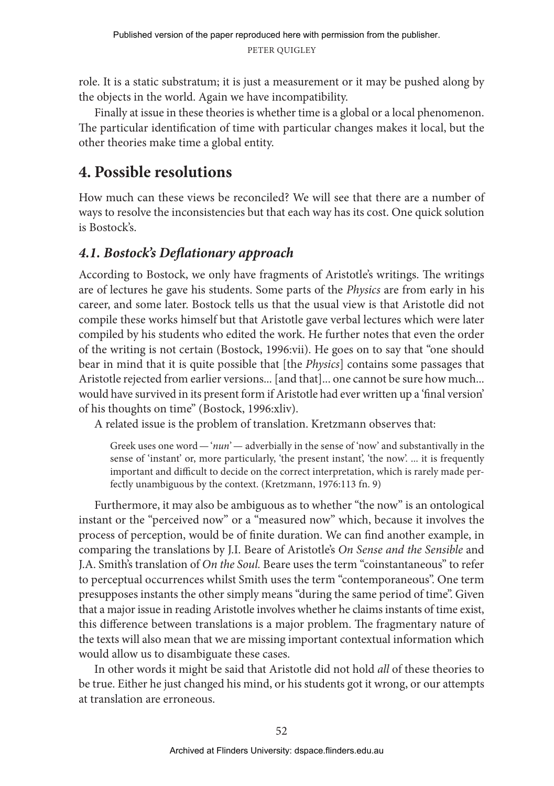role. It is a static substratum; it is just a measurement or it may be pushed along by the objects in the world. Again we have incompatibility.

Finally at issue in these theories is whether time is a global or a local phenomenon. The particular identification of time with particular changes makes it local, but the other theories make time a global entity.

# **4. Possible resolutions**

How much can these views be reconciled? We will see that there are a number of ways to resolve the inconsistencies but that each way has its cost. One quick solution is Bostock's.

# *4.1. Bostock's Deflationary approach*

According to Bostock, we only have fragments of Aristotle's writings. The writings are of lectures he gave his students. Some parts of the *Physics* are from early in his career, and some later. Bostock tells us that the usual view is that Aristotle did not compile these works himself but that Aristotle gave verbal lectures which were later compiled by his students who edited the work. He further notes that even the order of the writing is not certain (Bostock, 1996:vii). He goes on to say that "one should bear in mind that it is quite possible that [the *Physics*] contains some passages that Aristotle rejected from earlier versions... [and that]... one cannot be sure how much... would have survived in its present form if Aristotle had ever written up a 'final version' of his thoughts on time" (Bostock, 1996:xliv).

A related issue is the problem of translation. Kretzmann observes that:

Greek uses one word—'*nun*'— adverbially in the sense of 'now' and substantivally in the sense of 'instant' or, more particularly, 'the present instant', 'the now'. ... it is frequently important and difficult to decide on the correct interpretation, which is rarely made perfectly unambiguous by the context. (Kretzmann, 1976:113 fn. 9)

Furthermore, it may also be ambiguous as to whether "the now" is an ontological instant or the "perceived now" or a "measured now" which, because it involves the process of perception, would be of finite duration. We can find another example, in comparing the translations by J.I. Beare of Aristotle's *On Sense and the Sensible* and J.A. Smith's translation of *On the Soul.* Beare uses the term "coinstantaneous" to refer to perceptual occurrences whilst Smith uses the term "contemporaneous". One term presupposes instants the other simply means "during the same period of time". Given that a major issue in reading Aristotle involves whether he claims instants of time exist, this difference between translations is a major problem. The fragmentary nature of the texts will also mean that we are missing important contextual information which would allow us to disambiguate these cases.

In other words it might be said that Aristotle did not hold *all* of these theories to be true. Either he just changed his mind, or his students got it wrong, or our attempts at translation are erroneous.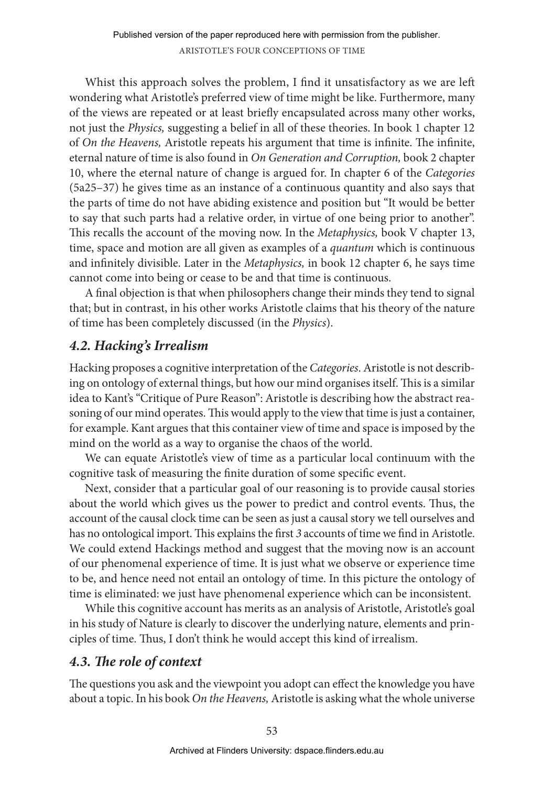Whist this approach solves the problem, I find it unsatisfactory as we are left wondering what Aristotle's preferred view of time might be like. Furthermore, many of the views are repeated or at least briefly encapsulated across many other works, not just the *Physics,* suggesting a belief in all of these theories. In book 1 chapter 12 of *On the Heavens,* Aristotle repeats his argument that time is infinite. The infinite, eternal nature of time is also found in *On Generation and Corruption,* book 2 chapter 10, where the eternal nature of change is argued for. In chapter 6 of the *Categories* (5a25–37) he gives time as an instance of a continuous quantity and also says that the parts of time do not have abiding existence and position but "It would be better to say that such parts had a relative order, in virtue of one being prior to another". This recalls the account of the moving now. In the *Metaphysics,* book V chapter 13, time, space and motion are all given as examples of a *quantum* which is continuous and infinitely divisible. Later in the *Metaphysics,* in book 12 chapter 6, he says time cannot come into being or cease to be and that time is continuous.

A final objection is that when philosophers change their minds they tend to signal that; but in contrast, in his other works Aristotle claims that his theory of the nature of time has been completely discussed (in the *Physics*).

## *4.2. Hacking's Irrealism*

Hacking proposes a cognitive interpretation of the *Categories*. Aristotle is not describing on ontology of external things, but how our mind organises itself. This is a similar idea to Kant's "Critique of Pure Reason": Aristotle is describing how the abstract reasoning of our mind operates. This would apply to the view that time is just a container, for example. Kant argues that this container view of time and space is imposed by the mind on the world as a way to organise the chaos of the world.

We can equate Aristotle's view of time as a particular local continuum with the cognitive task of measuring the finite duration of some specific event.

Next, consider that a particular goal of our reasoning is to provide causal stories about the world which gives us the power to predict and control events. Thus, the account of the causal clock time can be seen as just a causal story we tell ourselves and has no ontological import. This explains the first *3* accounts of time we find in Aristotle. We could extend Hackings method and suggest that the moving now is an account of our phenomenal experience of time. It is just what we observe or experience time to be, and hence need not entail an ontology of time. In this picture the ontology of time is eliminated: we just have phenomenal experience which can be inconsistent.

While this cognitive account has merits as an analysis of Aristotle, Aristotle's goal in his study of Nature is clearly to discover the underlying nature, elements and principles of time. Thus, I don't think he would accept this kind of irrealism.

## *4.3. The role of context*

The questions you ask and the viewpoint you adopt can effect the knowledge you have about a topic. In his book *On the Heavens,* Aristotle is asking what the whole universe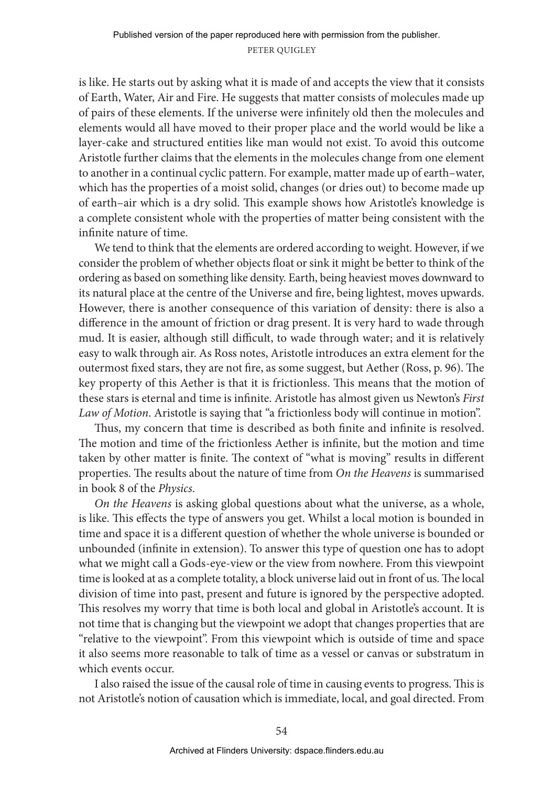is like. He starts out by asking what it is made of and accepts the view that it consists of Earth, Water, Air and Fire. He suggests that matter consists of molecules made up of pairs of these elements. If the universe were infinitely old then the molecules and elements would all have moved to their proper place and the world would be like a layer-cake and structured entities like man would not exist. To avoid this outcome Aristotle further claims that the elements in the molecules change from one element to another in a continual cyclic pattern. For example, matter made up of earth–water, which has the properties of a moist solid, changes (or dries out) to become made up of earth–air which is a dry solid. This example shows how Aristotle's knowledge is a complete consistent whole with the properties of matter being consistent with the infinite nature of time.

We tend to think that the elements are ordered according to weight. However, if we consider the problem of whether objects float or sink it might be better to think of the ordering as based on something like density. Earth, being heaviest moves downward to its natural place at the centre of the Universe and fire, being lightest, moves upwards. However, there is another consequence of this variation of density: there is also a difference in the amount of friction or drag present. It is very hard to wade through mud. It is easier, although still difficult, to wade through water; and it is relatively easy to walk through air. As Ross notes, Aristotle introduces an extra element for the outermost fixed stars, they are not fire, as some suggest, but Aether (Ross, p. 96). The key property of this Aether is that it is frictionless. This means that the motion of these stars is eternal and time is infinite. Aristotle has almost given us Newton's *First Law of Motion*. Aristotle is saying that "a frictionless body will continue in motion".

Thus, my concern that time is described as both finite and infinite is resolved. The motion and time of the frictionless Aether is infinite, but the motion and time taken by other matter is finite. The context of "what is moving" results in different properties. The results about the nature of time from *On the Heavens* is summarised in book 8 of the *Physics*.

*On the Heavens* is asking global questions about what the universe, as a whole, is like. This effects the type of answers you get. Whilst a local motion is bounded in time and space it is a different question of whether the whole universe is bounded or unbounded (infinite in extension). To answer this type of question one has to adopt what we might call a Gods-eye-view or the view from nowhere. From this viewpoint time is looked at as a complete totality, a block universe laid out in front of us. The local division of time into past, present and future is ignored by the perspective adopted. This resolves my worry that time is both local and global in Aristotle's account. It is not time that is changing but the viewpoint we adopt that changes properties that are "relative to the viewpoint". From this viewpoint which is outside of time and space it also seems more reasonable to talk of time as a vessel or canvas or substratum in which events occur.

I also raised the issue of the causal role of time in causing events to progress. This is not Aristotle's notion of causation which is immediate, local, and goal directed. From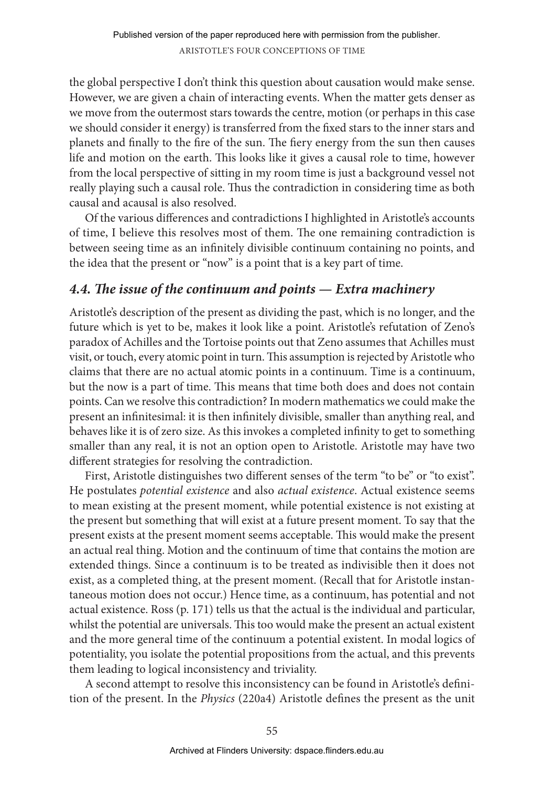the global perspective I don't think this question about causation would make sense. However, we are given a chain of interacting events. When the matter gets denser as we move from the outermost stars towards the centre, motion (or perhaps in this case we should consider it energy) is transferred from the fixed stars to the inner stars and planets and finally to the fire of the sun. The fiery energy from the sun then causes life and motion on the earth. This looks like it gives a causal role to time, however from the local perspective of sitting in my room time is just a background vessel not really playing such a causal role. Thus the contradiction in considering time as both causal and acausal is also resolved.

Of the various differences and contradictions I highlighted in Aristotle's accounts of time, I believe this resolves most of them. The one remaining contradiction is between seeing time as an infinitely divisible continuum containing no points, and the idea that the present or "now" is a point that is a key part of time.

## *4.4. The issue of the continuum and points — Extra machinery*

Aristotle's description of the present as dividing the past, which is no longer, and the future which is yet to be, makes it look like a point. Aristotle's refutation of Zeno's paradox of Achilles and the Tortoise points out that Zeno assumes that Achilles must visit, or touch, every atomic point in turn. This assumption is rejected by Aristotle who claims that there are no actual atomic points in a continuum. Time is a continuum, but the now is a part of time. This means that time both does and does not contain points. Can we resolve this contradiction? In modern mathematics we could make the present an infinitesimal: it is then infinitely divisible, smaller than anything real, and behaves like it is of zero size. As this invokes a completed infinity to get to something smaller than any real, it is not an option open to Aristotle. Aristotle may have two different strategies for resolving the contradiction.

First, Aristotle distinguishes two different senses of the term "to be" or "to exist". He postulates *potential existence* and also *actual existence*. Actual existence seems to mean existing at the present moment, while potential existence is not existing at the present but something that will exist at a future present moment. To say that the present exists at the present moment seems acceptable. This would make the present an actual real thing. Motion and the continuum of time that contains the motion are extended things. Since a continuum is to be treated as indivisible then it does not exist, as a completed thing, at the present moment. (Recall that for Aristotle instantaneous motion does not occur.) Hence time, as a continuum, has potential and not actual existence. Ross (p. 171) tells us that the actual is the individual and particular, whilst the potential are universals. This too would make the present an actual existent and the more general time of the continuum a potential existent. In modal logics of potentiality, you isolate the potential propositions from the actual, and this prevents them leading to logical inconsistency and triviality.

A second attempt to resolve this inconsistency can be found in Aristotle's definition of the present. In the *Physics* (220a4) Aristotle defines the present as the unit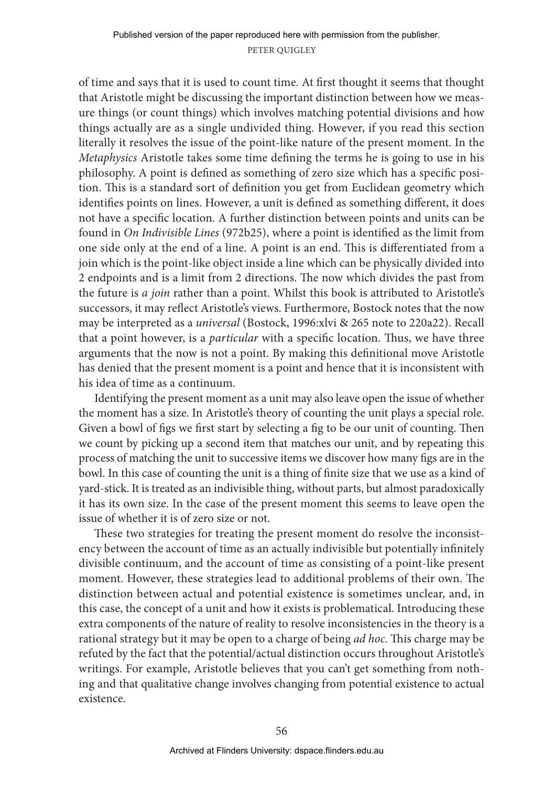of time and says that it is used to count time. At first thought it seems that thought that Aristotle might be discussing the important distinction between how we measure things (or count things) which involves matching potential divisions and how things actually are as a single undivided thing. However, if you read this section literally it resolves the issue of the point-like nature of the present moment. In the *Metaphysics* Aristotle takes some time defining the terms he is going to use in his philosophy. A point is defined as something of zero size which has a specific position. This is a standard sort of definition you get from Euclidean geometry which identifies points on lines. However, a unit is defined as something different, it does not have a specific location. A further distinction between points and units can be found in *On Indivisible Lines* (972b25), where a point is identified as the limit from one side only at the end of a line. A point is an end. This is differentiated from a join which is the point-like object inside a line which can be physically divided into 2 endpoints and is a limit from 2 directions. The now which divides the past from the future is *a join* rather than a point. Whilst this book is attributed to Aristotle's successors, it may reflect Aristotle's views. Furthermore, Bostock notes that the now may be interpreted as a *universal* (Bostock, 1996:xlvi & 265 note to 220a22). Recall that a point however, is a *particular* with a specific location. Thus, we have three arguments that the now is not a point. By making this definitional move Aristotle has denied that the present moment is a point and hence that it is inconsistent with his idea of time as a continuum.

Identifying the present moment as a unit may also leave open the issue of whether the moment has a size. In Aristotle's theory of counting the unit plays a special role. Given a bowl of figs we first start by selecting a fig to be our unit of counting. Then we count by picking up a second item that matches our unit, and by repeating this process of matching the unit to successive items we discover how many figs are in the bowl. In this case of counting the unit is a thing of finite size that we use as a kind of yard-stick. It is treated as an indivisible thing, without parts, but almost paradoxically it has its own size. In the case of the present moment this seems to leave open the issue of whether it is of zero size or not.

These two strategies for treating the present moment do resolve the inconsistency between the account of time as an actually indivisible but potentially infinitely divisible continuum, and the account of time as consisting of a point-like present moment. However, these strategies lead to additional problems of their own. The distinction between actual and potential existence is sometimes unclear, and, in this case, the concept of a unit and how it exists is problematical. Introducing these extra components of the nature of reality to resolve inconsistencies in the theory is a rational strategy but it may be open to a charge of being *ad hoc*. This charge may be refuted by the fact that the potential/actual distinction occurs throughout Aristotle's writings. For example, Aristotle believes that you can't get something from nothing and that qualitative change involves changing from potential existence to actual existence.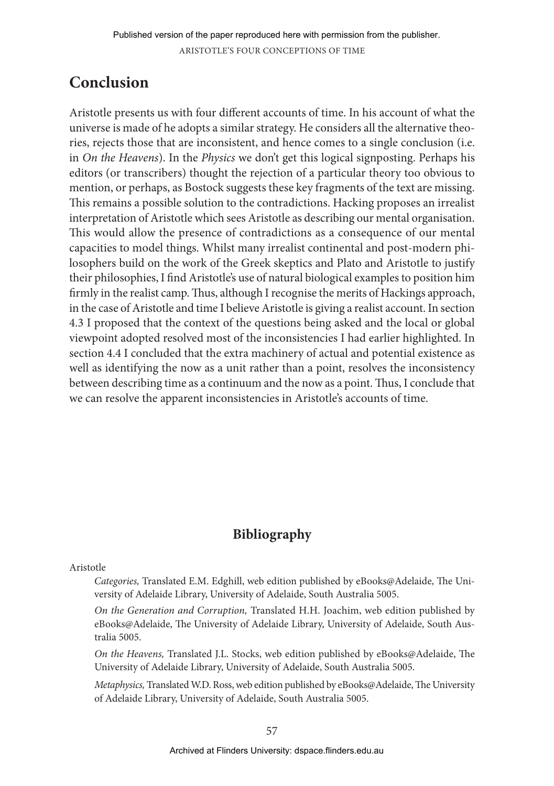# **Conclusion**

Aristotle presents us with four different accounts of time. In his account of what the universe is made of he adopts a similar strategy. He considers all the alternative theories, rejects those that are inconsistent, and hence comes to a single conclusion (i.e. in *On the Heavens*). In the *Physics* we don't get this logical signposting. Perhaps his editors (or transcribers) thought the rejection of a particular theory too obvious to mention, or perhaps, as Bostock suggests these key fragments of the text are missing. This remains a possible solution to the contradictions. Hacking proposes an irrealist interpretation of Aristotle which sees Aristotle as describing our mental organisation. This would allow the presence of contradictions as a consequence of our mental capacities to model things. Whilst many irrealist continental and post-modern philosophers build on the work of the Greek skeptics and Plato and Aristotle to justify their philosophies, I find Aristotle's use of natural biological examples to position him firmly in the realist camp. Thus, although I recognise the merits of Hackings approach, in the case of Aristotle and time I believe Aristotle is giving a realist account. In section 4.3 I proposed that the context of the questions being asked and the local or global viewpoint adopted resolved most of the inconsistencies I had earlier highlighted. In section 4.4 I concluded that the extra machinery of actual and potential existence as well as identifying the now as a unit rather than a point, resolves the inconsistency between describing time as a continuum and the now as a point. Thus, I conclude that we can resolve the apparent inconsistencies in Aristotle's accounts of time.

# **Bibliography**

## Aristotle

*Categories,* Translated E.M. Edghill, web edition published by eBooks@Adelaide, The University of Adelaide Library, University of Adelaide, South Australia 5005.

*On the Generation and Corruption,* Translated H.H. Joachim, web edition published by eBooks@Adelaide, The University of Adelaide Library, University of Adelaide, South Australia 5005.

*On the Heavens,* Translated J.L. Stocks, web edition published by eBooks@Adelaide, The University of Adelaide Library, University of Adelaide, South Australia 5005.

*Metaphysics,* Translated W.D. Ross, web edition published by eBooks@Adelaide, The University of Adelaide Library, University of Adelaide, South Australia 5005.